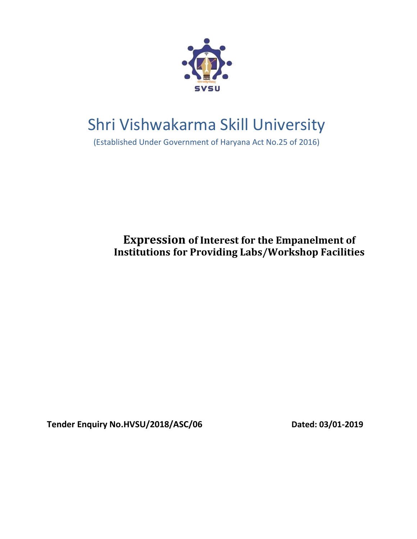

# Shri Vishwakarma Skill University

(Established Under Government of Haryana Act No.25 of 2016)

**Expression of Interest for the Empanelment of Institutions for Providing Labs/Workshop Facilities**

**Tender Enquiry No.HVSU/2018/ASC/06 Dated: 03/01-2019**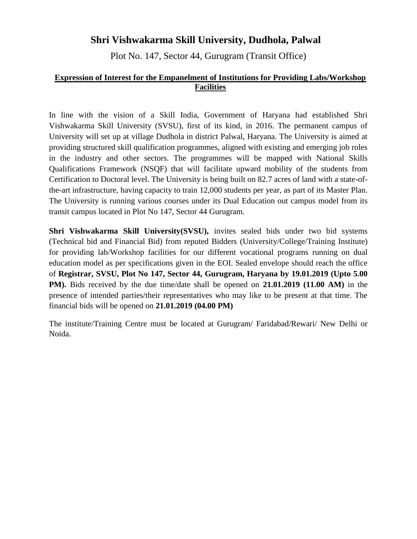# **Shri Vishwakarma Skill University, Dudhola, Palwal**

Plot No. 147, Sector 44, Gurugram (Transit Office)

## **Expression of Interest for the Empanelment of Institutions for Providing Labs/Workshop Facilities**

In line with the vision of a Skill India, Government of Haryana had established Shri Vishwakarma Skill University (SVSU), first of its kind, in 2016. The permanent campus of University will set up at village Dudhola in district Palwal, Haryana. The University is aimed at providing structured skill qualification programmes, aligned with existing and emerging job roles in the industry and other sectors. The programmes will be mapped with National Skills Qualifications Framework (NSQF) that will facilitate upward mobility of the students from Certification to Doctoral level. The University is being built on 82.7 acres of land with a state-ofthe-art infrastructure, having capacity to train 12,000 students per year, as part of its Master Plan. The University is running various courses under its Dual Education out campus model from its transit campus located in Plot No 147, Sector 44 Gurugram.

**Shri Vishwakarma Skill University(SVSU),** invites sealed bids under two bid systems (Technical bid and Financial Bid) from reputed Bidders (University/College/Training Institute) for providing lab/Workshop facilities for our different vocational programs running on dual education model as per specifications given in the EOI. Sealed envelope should reach the office of **Registrar, SVSU, Plot No 147, Sector 44, Gurugram, Haryana by 19.01.2019 (Upto 5.00 PM).** Bids received by the due time/date shall be opened on **21.01.2019 (11.00 AM)** in the presence of intended parties/their representatives who may like to be present at that time. The financial bids will be opened on **21.01.2019 (04.00 PM)**

The institute/Training Centre must be located at Gurugram/ Faridabad/Rewari/ New Delhi or Noida.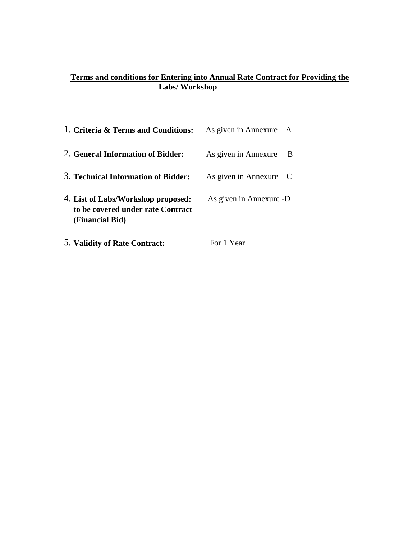# **Terms and conditions for Entering into Annual Rate Contract for Providing the Labs/ Workshop**

| 1. Criteria & Terms and Conditions:                                                        | As given in Annexure $-A$  |
|--------------------------------------------------------------------------------------------|----------------------------|
| 2. General Information of Bidder:                                                          | As given in Annexure $-$ B |
| 3. Technical Information of Bidder:                                                        | As given in Annexure $-C$  |
| 4. List of Labs/Workshop proposed:<br>to be covered under rate Contract<br>(Financial Bid) | As given in Annexure -D    |
| 5. Validity of Rate Contract:                                                              | For 1 Year                 |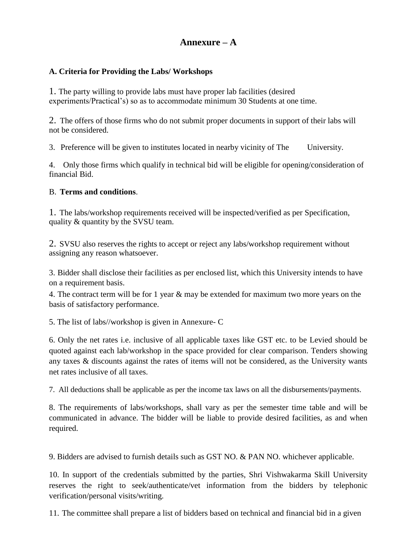# **Annexure – A**

## **A. Criteria for Providing the Labs/ Workshops**

1. The party willing to provide labs must have proper lab facilities (desired experiments/Practical's) so as to accommodate minimum 30 Students at one time.

2. The offers of those firms who do not submit proper documents in support of their labs will not be considered.

3. Preference will be given to institutes located in nearby vicinity of The University.

4. Only those firms which qualify in technical bid will be eligible for opening/consideration of financial Bid.

#### B. **Terms and conditions**.

1. The labs/workshop requirements received will be inspected/verified as per Specification, quality & quantity by the SVSU team.

2. SVSU also reserves the rights to accept or reject any labs/workshop requirement without assigning any reason whatsoever.

3. Bidder shall disclose their facilities as per enclosed list, which this University intends to have on a requirement basis.

4. The contract term will be for 1 year & may be extended for maximum two more years on the basis of satisfactory performance.

5. The list of labs//workshop is given in Annexure- C

6. Only the net rates i.e. inclusive of all applicable taxes like GST etc. to be Levied should be quoted against each lab/workshop in the space provided for clear comparison. Tenders showing any taxes & discounts against the rates of items will not be considered, as the University wants net rates inclusive of all taxes.

7. All deductions shall be applicable as per the income tax laws on all the disbursements/payments.

8. The requirements of labs/workshops, shall vary as per the semester time table and will be communicated in advance. The bidder will be liable to provide desired facilities, as and when required.

9. Bidders are advised to furnish details such as GST NO. & PAN NO. whichever applicable.

10. In support of the credentials submitted by the parties, Shri Vishwakarma Skill University reserves the right to seek/authenticate/vet information from the bidders by telephonic verification/personal visits/writing.

11. The committee shall prepare a list of bidders based on technical and financial bid in a given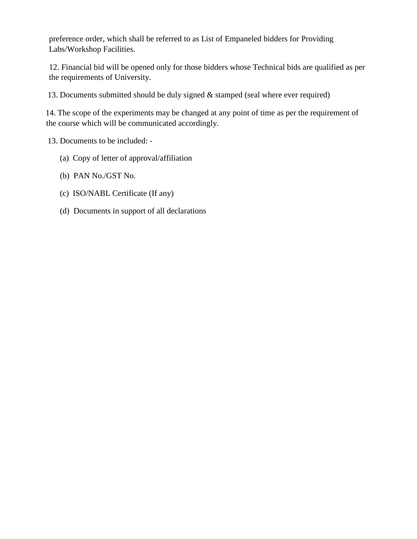preference order, which shall be referred to as List of Empaneled bidders for Providing Labs/Workshop Facilities.

12. Financial bid will be opened only for those bidders whose Technical bids are qualified as per the requirements of University.

13. Documents submitted should be duly signed & stamped (seal where ever required)

14. The scope of the experiments may be changed at any point of time as per the requirement of the course which will be communicated accordingly.

13. Documents to be included: -

- (a) Copy of letter of approval/affiliation
- (b) PAN No./GST No.
- (c) ISO/NABL Certificate (If any)
- (d) Documents in support of all declarations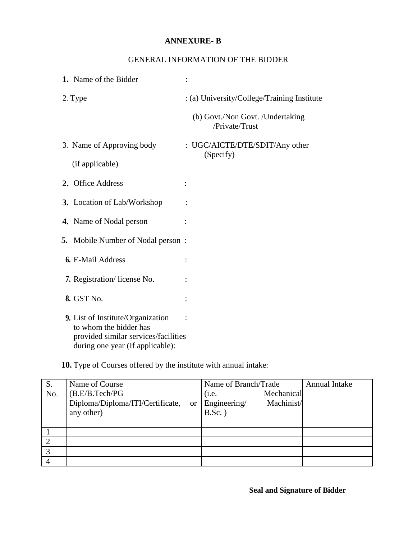#### **ANNEXURE- B**

## GENERAL INFORMATION OF THE BIDDER

| 1. Name of the Bidder                                                                                                                   |                                                    |
|-----------------------------------------------------------------------------------------------------------------------------------------|----------------------------------------------------|
| 2. Type                                                                                                                                 | : (a) University/College/Training Institute        |
|                                                                                                                                         | (b) Govt./Non Govt. /Undertaking<br>/Private/Trust |
| 3. Name of Approving body                                                                                                               | : UGC/AICTE/DTE/SDIT/Any other<br>(Specify)        |
| (if applicable)                                                                                                                         |                                                    |
| 2. Office Address                                                                                                                       |                                                    |
| 3. Location of Lab/Workshop                                                                                                             |                                                    |
| 4. Name of Nodal person                                                                                                                 |                                                    |
| <b>5.</b> Mobile Number of Nodal person:                                                                                                |                                                    |
| <b>6.</b> E-Mail Address                                                                                                                |                                                    |
| 7. Registration/license No.                                                                                                             |                                                    |
| 8. GST No.                                                                                                                              |                                                    |
| 9. List of Institute/Organization<br>to whom the bidder has<br>provided similar services/facilities<br>during one year (If applicable): |                                                    |

**10.** Type of Courses offered by the institute with annual intake:

| S.  | Name of Course                                    | Name of Branch/Trade       | <b>Annual Intake</b> |
|-----|---------------------------------------------------|----------------------------|----------------------|
| No. | (B.E/B.Tech/PG                                    | Mechanical<br>(i.e.        |                      |
|     | Diploma/Diploma/ITI/Certificate,<br><sub>or</sub> | Machinist/<br>Engineering/ |                      |
|     | any other)                                        | $B.Sc.$ )                  |                      |
|     |                                                   |                            |                      |
|     |                                                   |                            |                      |
|     |                                                   |                            |                      |
|     |                                                   |                            |                      |
|     |                                                   |                            |                      |

**Seal and Signature of Bidder**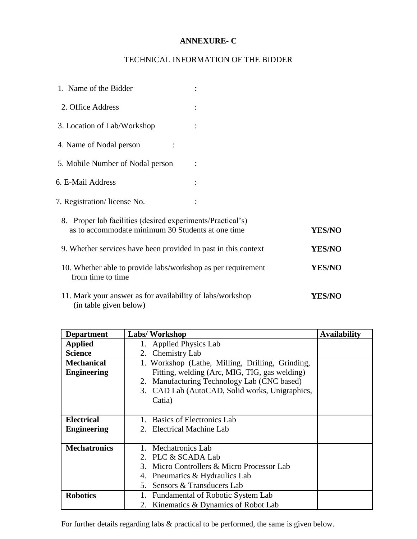## **ANNEXURE- C**

## TECHNICAL INFORMATION OF THE BIDDER

| 1. Name of the Bidder                                                                                           |               |
|-----------------------------------------------------------------------------------------------------------------|---------------|
| 2. Office Address                                                                                               |               |
| 3. Location of Lab/Workshop                                                                                     |               |
| 4. Name of Nodal person                                                                                         |               |
| 5. Mobile Number of Nodal person                                                                                |               |
| 6. E-Mail Address                                                                                               |               |
| 7. Registration/license No.                                                                                     |               |
| 8. Proper lab facilities (desired experiments/Practical's)<br>as to accommodate minimum 30 Students at one time | <b>YES/NO</b> |
| 9. Whether services have been provided in past in this context                                                  | <b>YES/NO</b> |
| 10. Whether able to provide labs/workshop as per requirement<br>from time to time                               | <b>YES/NO</b> |
| 11. Mark your answer as for availability of labs/workshop<br>(in table given below)                             | <b>YES/NO</b> |

| <b>Department</b>   | <b>Labs/Workshop</b>                               | <b>Availability</b> |
|---------------------|----------------------------------------------------|---------------------|
| <b>Applied</b>      | 1. Applied Physics Lab                             |                     |
| <b>Science</b>      | 2. Chemistry Lab                                   |                     |
| <b>Mechanical</b>   | 1. Workshop (Lathe, Milling, Drilling, Grinding,   |                     |
| <b>Engineering</b>  | Fitting, welding (Arc, MIG, TIG, gas welding)      |                     |
|                     | 2. Manufacturing Technology Lab (CNC based)        |                     |
|                     | 3. CAD Lab (AutoCAD, Solid works, Unigraphics,     |                     |
|                     | Catia)                                             |                     |
|                     |                                                    |                     |
| <b>Electrical</b>   | Basics of Electronics Lab                          |                     |
| <b>Engineering</b>  | 2. Electrical Machine Lab                          |                     |
|                     |                                                    |                     |
| <b>Mechatronics</b> | Mechatronics Lab                                   |                     |
|                     | 2. PLC & SCADA Lab                                 |                     |
|                     | Micro Controllers & Micro Processor Lab<br>$3_{-}$ |                     |
|                     | Pneumatics & Hydraulics Lab<br>4.                  |                     |
|                     | Sensors & Transducers Lab<br>5.                    |                     |
| <b>Robotics</b>     | Fundamental of Robotic System Lab<br>1.            |                     |
|                     | 2. Kinematics & Dynamics of Robot Lab              |                     |

For further details regarding labs & practical to be performed, the same is given below.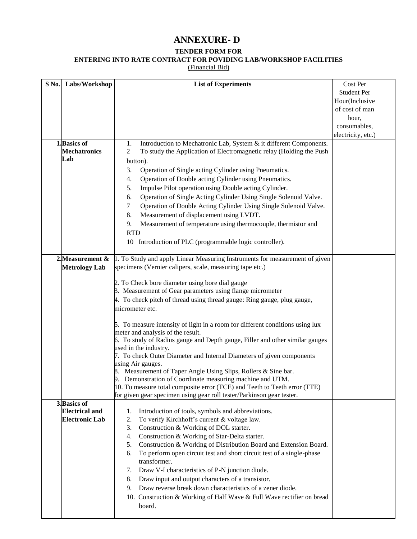# **ANNEXURE- D**

#### **TENDER FORM FOR**

**ENTERING INTO RATE CONTRACT FOR POVIDING LAB/WORKSHOP FACILITIES**

(Financial Bid)

| S No.        | Labs/Workshop                            | <b>List of Experiments</b>                                                                 | Cost Per           |
|--------------|------------------------------------------|--------------------------------------------------------------------------------------------|--------------------|
|              |                                          |                                                                                            | <b>Student Per</b> |
|              |                                          |                                                                                            | Hour(Inclusive     |
|              |                                          |                                                                                            | of cost of man     |
|              |                                          |                                                                                            | hour,              |
|              |                                          |                                                                                            | consumables,       |
|              |                                          |                                                                                            | electricity, etc.) |
| 1. Basics of |                                          | Introduction to Mechatronic Lab, System & it different Components.<br>1.                   |                    |
|              | <b>Mechatronics</b>                      | 2<br>To study the Application of Electromagnetic relay (Holding the Push                   |                    |
| Lab          |                                          | button).                                                                                   |                    |
|              |                                          | Operation of Single acting Cylinder using Pneumatics.<br>3.                                |                    |
|              |                                          | Operation of Double acting Cylinder using Pneumatics.<br>4.                                |                    |
|              |                                          | Impulse Pilot operation using Double acting Cylinder.<br>5.                                |                    |
|              |                                          | Operation of Single Acting Cylinder Using Single Solenoid Valve.<br>6.                     |                    |
|              |                                          | Operation of Double Acting Cylinder Using Single Solenoid Valve.<br>7                      |                    |
|              |                                          | Measurement of displacement using LVDT.<br>8.                                              |                    |
|              |                                          |                                                                                            |                    |
|              |                                          | Measurement of temperature using thermocouple, thermistor and<br>9.                        |                    |
|              |                                          | <b>RTD</b>                                                                                 |                    |
|              |                                          | 10 Introduction of PLC (programmable logic controller).                                    |                    |
|              |                                          | 1. To Study and apply Linear Measuring Instruments for measurement of given                |                    |
|              | 2. Measurement &<br><b>Metrology Lab</b> | specimens (Vernier calipers, scale, measuring tape etc.)                                   |                    |
|              |                                          |                                                                                            |                    |
|              |                                          | 2. To Check bore diameter using bore dial gauge                                            |                    |
|              |                                          | 3. Measurement of Gear parameters using flange micrometer                                  |                    |
|              |                                          | 4. To check pitch of thread using thread gauge: Ring gauge, plug gauge,                    |                    |
|              |                                          | micrometer etc.                                                                            |                    |
|              |                                          |                                                                                            |                    |
|              |                                          | 5. To measure intensity of light in a room for different conditions using lux              |                    |
|              |                                          | meter and analysis of the result.                                                          |                    |
|              |                                          | 6. To study of Radius gauge and Depth gauge, Filler and other similar gauges               |                    |
|              |                                          | used in the industry.                                                                      |                    |
|              |                                          | 7. To check Outer Diameter and Internal Diameters of given components<br>using Air gauges. |                    |
|              |                                          | 8. Measurement of Taper Angle Using Slips, Rollers & Sine bar.                             |                    |
|              |                                          | 9. Demonstration of Coordinate measuring machine and UTM.                                  |                    |
|              |                                          | 10. To measure total composite error (TCE) and Teeth to Teeth error (TTE)                  |                    |
|              |                                          | for given gear specimen using gear roll tester/Parkinson gear tester.                      |                    |
| 3. Basics of |                                          |                                                                                            |                    |
|              | <b>Electrical and</b>                    | Introduction of tools, symbols and abbreviations.<br>1.                                    |                    |
|              | <b>Electronic Lab</b>                    | To verify Kirchhoff's current & voltage law.<br>2.                                         |                    |
|              |                                          | Construction & Working of DOL starter.<br>3.                                               |                    |
|              |                                          | Construction & Working of Star-Delta starter.<br>4.                                        |                    |
|              |                                          | Construction & Working of Distribution Board and Extension Board.<br>5.                    |                    |
|              |                                          | To perform open circuit test and short circuit test of a single-phase<br>6.                |                    |
|              |                                          | transformer.                                                                               |                    |
|              |                                          | Draw V-I characteristics of P-N junction diode.<br>7.                                      |                    |
|              |                                          | Draw input and output characters of a transistor.<br>8.                                    |                    |
|              |                                          | Draw reverse break down characteristics of a zener diode.<br>9.                            |                    |
|              |                                          | 10. Construction & Working of Half Wave & Full Wave rectifier on bread                     |                    |
|              |                                          | board.                                                                                     |                    |
|              |                                          |                                                                                            |                    |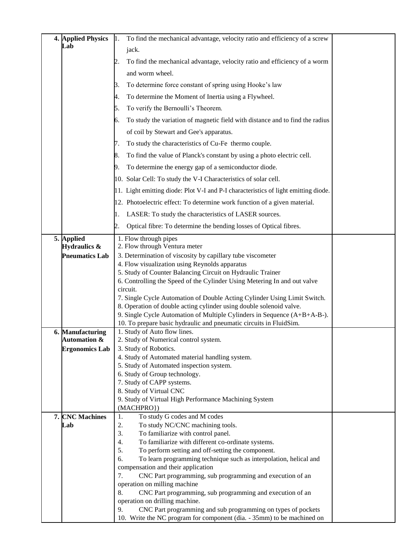| 4. Applied Physics                          | To find the mechanical advantage, velocity ratio and efficiency of a screw<br>$\mathbf{1}$ .    |  |
|---------------------------------------------|-------------------------------------------------------------------------------------------------|--|
| Lab                                         | jack.                                                                                           |  |
|                                             | To find the mechanical advantage, velocity ratio and efficiency of a worm                       |  |
|                                             | and worm wheel.                                                                                 |  |
|                                             | To determine force constant of spring using Hooke's law<br>3.                                   |  |
|                                             | To determine the Moment of Inertia using a Flywheel.<br>4.                                      |  |
|                                             |                                                                                                 |  |
|                                             | To verify the Bernoulli's Theorem.<br>5.                                                        |  |
|                                             | To study the variation of magnetic field with distance and to find the radius<br>6.             |  |
|                                             | of coil by Stewart and Gee's apparatus.                                                         |  |
|                                             | To study the characteristics of Cu-Fe thermo couple.<br>7.                                      |  |
|                                             | To find the value of Planck's constant by using a photo electric cell.<br>8.                    |  |
|                                             | To determine the energy gap of a semiconductor diode.<br>9.                                     |  |
|                                             | 10. Solar Cell: To study the V-I Characteristics of solar cell.                                 |  |
|                                             | 11. Light emitting diode: Plot V-I and P-I characteristics of light emitting diode.             |  |
|                                             | 12. Photoelectric effect: To determine work function of a given material.                       |  |
|                                             | LASER: To study the characteristics of LASER sources.                                           |  |
|                                             | Optical fibre: To determine the bending losses of Optical fibres.<br>2.                         |  |
|                                             |                                                                                                 |  |
| 5. Applied<br>Hydraulics &                  | 1. Flow through pipes<br>2. Flow through Ventura meter                                          |  |
| <b>Pneumatics Lab</b>                       | 3. Determination of viscosity by capillary tube viscometer                                      |  |
|                                             | 4. Flow visualization using Reynolds apparatus                                                  |  |
|                                             | 5. Study of Counter Balancing Circuit on Hydraulic Trainer                                      |  |
|                                             | 6. Controlling the Speed of the Cylinder Using Metering In and out valve<br>circuit.            |  |
|                                             | 7. Single Cycle Automation of Double Acting Cylinder Using Limit Switch.                        |  |
|                                             | 8. Operation of double acting cylinder using double solenoid valve.                             |  |
|                                             | 9. Single Cycle Automation of Multiple Cylinders in Sequence (A+B+A-B-).                        |  |
|                                             | 10. To prepare basic hydraulic and pneumatic circuits in FluidSim.                              |  |
| 6. Manufacturing<br><b>Automation &amp;</b> | 1. Study of Auto flow lines.<br>2. Study of Numerical control system.                           |  |
| <b>Ergonomics Lab</b>                       | 3. Study of Robotics.                                                                           |  |
|                                             | 4. Study of Automated material handling system.                                                 |  |
|                                             | 5. Study of Automated inspection system.                                                        |  |
|                                             | 6. Study of Group technology.<br>7. Study of CAPP systems.                                      |  |
|                                             | 8. Study of Virtual CNC                                                                         |  |
|                                             | 9. Study of Virtual High Performance Machining System                                           |  |
|                                             | (MACHPRO})                                                                                      |  |
| 7. CNC Machines                             | To study G codes and M codes<br>1.                                                              |  |
| Lab                                         | To study NC/CNC machining tools.<br>2.<br>To familiarize with control panel.<br>3.              |  |
|                                             | To familiarize with different co-ordinate systems.<br>4.                                        |  |
|                                             | 5.<br>To perform setting and off-setting the component.                                         |  |
|                                             | 6.<br>To learn programming technique such as interpolation, helical and                         |  |
|                                             | compensation and their application                                                              |  |
|                                             | CNC Part programming, sub programming and execution of an<br>7.<br>operation on milling machine |  |
|                                             | CNC Part programming, sub programming and execution of an<br>8.                                 |  |
|                                             | operation on drilling machine.                                                                  |  |
|                                             | CNC Part programming and sub programming on types of pockets<br>9.                              |  |
|                                             | 10. Write the NC program for component (dia. - 35mm) to be machined on                          |  |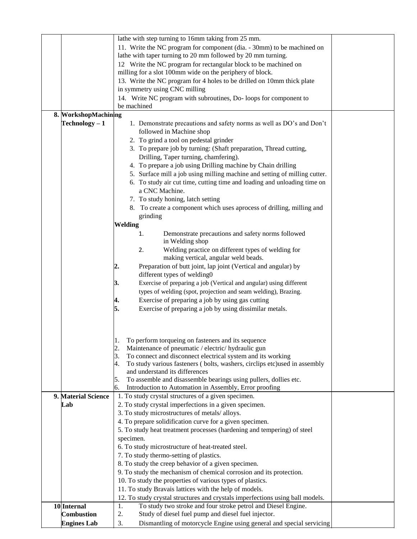|                      | lathe with step turning to 16mm taking from 25 mm.                                |  |
|----------------------|-----------------------------------------------------------------------------------|--|
|                      | 11. Write the NC program for component (dia. - 30mm) to be machined on            |  |
|                      | lathe with taper turning to 20 mm followed by 20 mm turning.                      |  |
|                      | 12 Write the NC program for rectangular block to be machined on                   |  |
|                      | milling for a slot 100mm wide on the periphery of block.                          |  |
|                      | 13. Write the NC program for 4 holes to be drilled on 10mm thick plate            |  |
|                      | in symmetry using CNC milling                                                     |  |
|                      | 14. Write NC program with subroutines, Do-loops for component to                  |  |
|                      | be machined                                                                       |  |
| 8. WorkshopMachining |                                                                                   |  |
| $Technology - 1$     | 1. Demonstrate precautions and safety norms as well as DO's and Don't             |  |
|                      | followed in Machine shop                                                          |  |
|                      | 2. To grind a tool on pedestal grinder                                            |  |
|                      | 3. To prepare job by turning: (Shaft preparation, Thread cutting,                 |  |
|                      | Drilling, Taper turning, chamfering).                                             |  |
|                      |                                                                                   |  |
|                      | 4. To prepare a job using Drilling machine by Chain drilling                      |  |
|                      | 5. Surface mill a job using milling machine and setting of milling cutter.        |  |
|                      | 6. To study air cut time, cutting time and loading and unloading time on          |  |
|                      | a CNC Machine.                                                                    |  |
|                      | 7. To study honing, latch setting                                                 |  |
|                      | 8. To create a component which uses aprocess of drilling, milling and             |  |
|                      | grinding                                                                          |  |
|                      | <b>Welding</b>                                                                    |  |
|                      | Demonstrate precautions and safety norms followed<br>1.                           |  |
|                      | in Welding shop                                                                   |  |
|                      | Welding practice on different types of welding for<br>2.                          |  |
|                      | making vertical, angular weld beads.                                              |  |
|                      | Preparation of butt joint, lap joint (Vertical and angular) by<br>2.              |  |
|                      | different types of welding0                                                       |  |
|                      | Exercise of preparing a job (Vertical and angular) using different<br>3.          |  |
|                      | types of welding (spot, projection and seam welding), Brazing.                    |  |
|                      | Exercise of preparing a job by using gas cutting<br> 4.                           |  |
|                      | 5.<br>Exercise of preparing a job by using dissimilar metals.                     |  |
|                      |                                                                                   |  |
|                      |                                                                                   |  |
|                      |                                                                                   |  |
|                      | To perform torqueing on fasteners and its sequence<br>Ι.                          |  |
|                      | 2.<br>Maintenance of pneumatic / electric/ hydraulic gun                          |  |
|                      | To connect and disconnect electrical system and its working<br>3.                 |  |
|                      | To study various fasteners (bolts, washers, circlips etc) used in assembly<br>Ι4. |  |
|                      | and understand its differences                                                    |  |
|                      | To assemble and disassemble bearings using pullers, dollies etc.<br>5.            |  |
|                      | Introduction to Automation in Assembly, Error proofing<br>6.                      |  |
| 9. Material Science  | 1. To study crystal structures of a given specimen.                               |  |
| Lab                  | 2. To study crystal imperfections in a given specimen.                            |  |
|                      | 3. To study microstructures of metals/ alloys.                                    |  |
|                      | 4. To prepare solidification curve for a given specimen.                          |  |
|                      | 5. To study heat treatment processes (hardening and tempering) of steel           |  |
|                      | specimen.                                                                         |  |
|                      | 6. To study microstructure of heat-treated steel.                                 |  |
|                      | 7. To study thermo-setting of plastics.                                           |  |
|                      | 8. To study the creep behavior of a given specimen.                               |  |
|                      | 9. To study the mechanism of chemical corrosion and its protection.               |  |
|                      | 10. To study the properties of various types of plastics.                         |  |
|                      | 11. To study Bravais lattices with the help of models.                            |  |
|                      | 12. To study crystal structures and crystals imperfections using ball models.     |  |
| 10 Internal          | To study two stroke and four stroke petrol and Diesel Engine.<br>1.               |  |
| <b>Combustion</b>    | 2.<br>Study of diesel fuel pump and diesel fuel injector.                         |  |
| <b>Engines Lab</b>   | 3.<br>Dismantling of motorcycle Engine using general and special servicing        |  |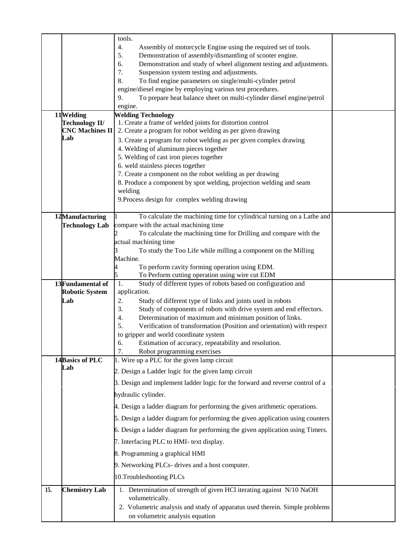|     | 11Welding<br>Technology II/<br><b>CNC Machines II</b><br>Lab | tools.<br>4.<br>Assembly of motorcycle Engine using the required set of tools.<br>5.<br>Demonstration of assembly/dismantling of scooter engine.<br>Demonstration and study of wheel alignment testing and adjustments.<br>6.<br>7.<br>Suspension system testing and adjustments.<br>8.<br>To find engine parameters on single/multi-cylinder petrol<br>engine/diesel engine by employing various test procedures.<br>To prepare heat balance sheet on multi-cylinder diesel engine/petrol<br>9.<br>engine.<br><b>Welding Technology</b><br>1. Create a frame of welded joints for distortion control<br>2. Create a program for robot welding as per given drawing<br>3. Create a program for robot welding as per given complex drawing<br>4. Welding of aluminum pieces together<br>5. Welding of cast iron pieces together<br>6. weld stainless pieces together<br>7. Create a component on the robot welding as per drawing<br>8. Produce a component by spot welding, projection welding and seam<br>welding |  |
|-----|--------------------------------------------------------------|--------------------------------------------------------------------------------------------------------------------------------------------------------------------------------------------------------------------------------------------------------------------------------------------------------------------------------------------------------------------------------------------------------------------------------------------------------------------------------------------------------------------------------------------------------------------------------------------------------------------------------------------------------------------------------------------------------------------------------------------------------------------------------------------------------------------------------------------------------------------------------------------------------------------------------------------------------------------------------------------------------------------|--|
|     |                                                              | 9. Process design for complex welding drawing                                                                                                                                                                                                                                                                                                                                                                                                                                                                                                                                                                                                                                                                                                                                                                                                                                                                                                                                                                      |  |
|     |                                                              |                                                                                                                                                                                                                                                                                                                                                                                                                                                                                                                                                                                                                                                                                                                                                                                                                                                                                                                                                                                                                    |  |
|     | 12Manufacturing<br><b>Technology Lab</b>                     | To calculate the machining time for cylindrical turning on a Lathe and<br>compare with the actual machining time                                                                                                                                                                                                                                                                                                                                                                                                                                                                                                                                                                                                                                                                                                                                                                                                                                                                                                   |  |
|     |                                                              | To calculate the machining time for Drilling and compare with the                                                                                                                                                                                                                                                                                                                                                                                                                                                                                                                                                                                                                                                                                                                                                                                                                                                                                                                                                  |  |
|     |                                                              | actual machining time<br>To study the Too Life while milling a component on the Milling                                                                                                                                                                                                                                                                                                                                                                                                                                                                                                                                                                                                                                                                                                                                                                                                                                                                                                                            |  |
|     |                                                              | Machine.                                                                                                                                                                                                                                                                                                                                                                                                                                                                                                                                                                                                                                                                                                                                                                                                                                                                                                                                                                                                           |  |
|     |                                                              | To perform cavity forming operation using EDM.<br>To Perform cutting operation using wire cut EDM                                                                                                                                                                                                                                                                                                                                                                                                                                                                                                                                                                                                                                                                                                                                                                                                                                                                                                                  |  |
|     | 13Fundamental of                                             | 1.<br>Study of different types of robots based on configuration and                                                                                                                                                                                                                                                                                                                                                                                                                                                                                                                                                                                                                                                                                                                                                                                                                                                                                                                                                |  |
|     | <b>Robotic System</b><br>Lab                                 | application.<br>2.<br>Study of different type of links and joints used in robots                                                                                                                                                                                                                                                                                                                                                                                                                                                                                                                                                                                                                                                                                                                                                                                                                                                                                                                                   |  |
|     |                                                              | 3.<br>Study of components of robots with drive system and end effectors.                                                                                                                                                                                                                                                                                                                                                                                                                                                                                                                                                                                                                                                                                                                                                                                                                                                                                                                                           |  |
|     |                                                              | 4.<br>Determination of maximum and minimum position of links.<br>5.<br>Verification of transformation (Position and orientation) with respect                                                                                                                                                                                                                                                                                                                                                                                                                                                                                                                                                                                                                                                                                                                                                                                                                                                                      |  |
|     |                                                              | to gripper and world coordinate system                                                                                                                                                                                                                                                                                                                                                                                                                                                                                                                                                                                                                                                                                                                                                                                                                                                                                                                                                                             |  |
|     |                                                              | Estimation of accuracy, repeatability and resolution.<br>6.<br>Robot programming exercises<br>7.                                                                                                                                                                                                                                                                                                                                                                                                                                                                                                                                                                                                                                                                                                                                                                                                                                                                                                                   |  |
|     | 14 Basics of PLC                                             | 1. Wire up a PLC for the given lamp circuit                                                                                                                                                                                                                                                                                                                                                                                                                                                                                                                                                                                                                                                                                                                                                                                                                                                                                                                                                                        |  |
|     | Lab                                                          | 2. Design a Ladder logic for the given lamp circuit                                                                                                                                                                                                                                                                                                                                                                                                                                                                                                                                                                                                                                                                                                                                                                                                                                                                                                                                                                |  |
|     |                                                              | 3. Design and implement ladder logic for the forward and reverse control of a                                                                                                                                                                                                                                                                                                                                                                                                                                                                                                                                                                                                                                                                                                                                                                                                                                                                                                                                      |  |
|     |                                                              | hydraulic cylinder.                                                                                                                                                                                                                                                                                                                                                                                                                                                                                                                                                                                                                                                                                                                                                                                                                                                                                                                                                                                                |  |
|     |                                                              | 4. Design a ladder diagram for performing the given arithmetic operations.                                                                                                                                                                                                                                                                                                                                                                                                                                                                                                                                                                                                                                                                                                                                                                                                                                                                                                                                         |  |
|     |                                                              | 5. Design a ladder diagram for performing the given application using counters                                                                                                                                                                                                                                                                                                                                                                                                                                                                                                                                                                                                                                                                                                                                                                                                                                                                                                                                     |  |
|     |                                                              | 6. Design a ladder diagram for performing the given application using Timers.                                                                                                                                                                                                                                                                                                                                                                                                                                                                                                                                                                                                                                                                                                                                                                                                                                                                                                                                      |  |
|     |                                                              | 7. Interfacing PLC to HMI- text display.                                                                                                                                                                                                                                                                                                                                                                                                                                                                                                                                                                                                                                                                                                                                                                                                                                                                                                                                                                           |  |
|     |                                                              | 8. Programming a graphical HMI                                                                                                                                                                                                                                                                                                                                                                                                                                                                                                                                                                                                                                                                                                                                                                                                                                                                                                                                                                                     |  |
|     |                                                              | 9. Networking PLCs- drives and a host computer.                                                                                                                                                                                                                                                                                                                                                                                                                                                                                                                                                                                                                                                                                                                                                                                                                                                                                                                                                                    |  |
|     |                                                              | 10.Troubleshooting PLCs                                                                                                                                                                                                                                                                                                                                                                                                                                                                                                                                                                                                                                                                                                                                                                                                                                                                                                                                                                                            |  |
| 15. | <b>Chemistry Lab</b>                                         | 1. Determination of strength of given HCl iterating against N/10 NaOH                                                                                                                                                                                                                                                                                                                                                                                                                                                                                                                                                                                                                                                                                                                                                                                                                                                                                                                                              |  |
|     |                                                              | volumetrically.<br>2. Volumetric analysis and study of apparatus used therein. Simple problems                                                                                                                                                                                                                                                                                                                                                                                                                                                                                                                                                                                                                                                                                                                                                                                                                                                                                                                     |  |
|     |                                                              | on volumetric analysis equation                                                                                                                                                                                                                                                                                                                                                                                                                                                                                                                                                                                                                                                                                                                                                                                                                                                                                                                                                                                    |  |